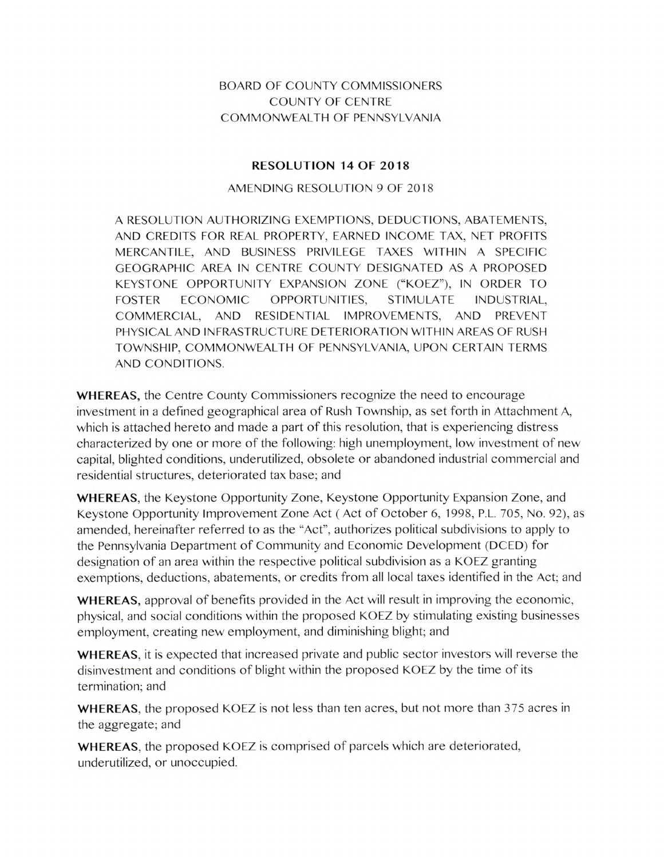## BOARD OF COUNTY COMMISSIONERS COUNTY OF CENTRE COMMONWEALTH OF PENNSYLVANIA

## **RESOLUTION 14 OF 2018**

## AMENDING RESOLUTION 9 OF 2018

A RESOLUTION AUTHORIZING EXEMPTIONS, DEDUCTIONS, ABATEMENTS, AND CREDITS FOR REAL PROPERTY, EARNED INCOME TAX, NET PROFITS MERCANTILE, AND BUSINESS PRIVILEGE TAXES WITHIN A SPECIFIC GEOGRAPHIC AREA IN CENTRE COUNTY DESIGNATED AS A PROPOSED KEYSTONE OPPORTUNITY EXPANSION ZONE ("KOEZ"), IN ORDER TO FOSTER ECONOMIC OPPORTUNITIES, STIMULATE INDUSTRIAL, COMMERCIAL, AND RESIDENTIAL IMPROVEMENTS, AND PREVENT PHYSICAL AND INFRASTRUCTURE DETERIORATION WITHIN AREAS OF RUSH TOWNSHIP, COMMONWEALTH OF PENNSYLVANIA, UPON CERTAIN TERMS AND CONDITIONS.

**WHEREAS,** the Centre County Commissioners recognize the need to encourage investment in a defined geographical area of Rush Township, as set forth in Attachment A, which is attached hereto and made a part of this resolution, that is experiencing distress characterized by one or more of the following: high unemployment, low investment of new capital, blighted conditions, underutilized, obsolete or abandoned industrial commercial and residential structures, deteriorated tax base; and

**WHEREAS,** the Keystone Opportunity Zone, Keystone Opportunity Expansion Zone, and Keystone Opportunity Improvement Zone Act (Act of October 6, 1998, P.L. 705, No. 92), as amended, hereinafter referred to as the "Act", authorizes political subdivisions to apply to the Pennsylvania Department of Community and Economic Development (DCED) for designation of an area within the respective political subdivision as a KOEZ granting exemptions, deductions, abatements, or credits from all local taxes identified in the Act; and

**WHEREAS,** approval of benefits provided in the Act will result in improving the economic, physical, and social conditions within the proposed KOEZ by stimulating existing businesses employment, creating new employment, and diminishing blight; and

**WHEREAS,** it is expected that increased private and public sector investors will reverse the disinvestment and conditions of blight within the proposed KOEZ by the time of its termination; and

**WHEREAS,** the proposed KOEZ is not less than ten acres, but not more than 375 acres in the aggregate; and

**WHEREAS,** the proposed KOEZ is comprised of parcels which are deteriorated, underutilized, or unoccupied.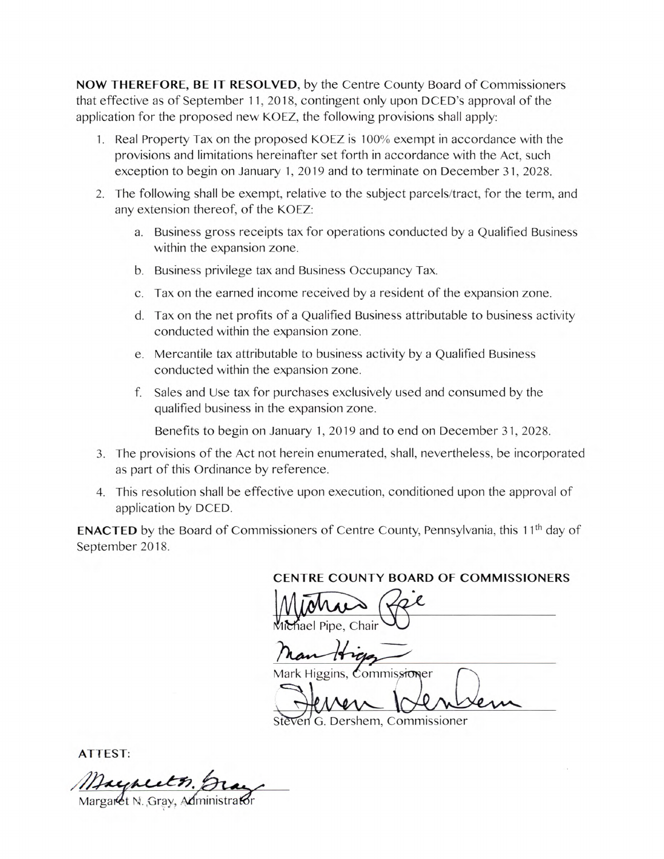**NOW THEREFORE, BE IT RESOLVED,** by the Centre County Board of Commissioners that effective as of September 11, 2018, contingent only upon DCED's approval of the application for the proposed new KOEZ, the following provisions shall apply:

- 1. Real Property Tax on the proposed KOEZ is 100% exempt in accordance with the provisions and limitations hereinafter set forth in accordance with the Act, such exception to begin on January 1, 2019 and to terminate on December 31, 2028.
- 2. The following shall be exempt, relative to the subject parcels/tract, for the term, and any extension thereof, of the KOEZ:
	- a. Business gross receipts tax for operations conducted by a Qualified Business within the expansion zone.
	- b. Business privilege tax and Business Occupancy Tax.
	- c. Tax on the earned income received by a resident of the expansion zone.
	- d. Tax on the net profits of a Qualified Business attributable to business activity conducted within the expansion zone.
	- e. Mercantile tax attributable to business activity by a Qualified Business conducted within the expansion zone.
	- f. Sales and Use tax for purchases exclusively used and consumed by the qualified business in the expansion zone.

Benefits to begin on January 1, 2019 and to end on December 31, 2028.

- The provisions of the Act not herein enumerated, shall, nevertheless, be incorporated as part of this Ordinance by reference.
- 4. This resolution shall be effective upon execution, conditioned upon the approval of application by DCED.

**ENACTED** by the Board of Commissioners of Centre County, Pennsylvania, this 11<sup>th</sup> day of September 2018.

**CENTRE COUNTY BOARD OF COMMISSIONERS** 

ENTRE COUNTY BOARD OF hael Pine, Chair  $\left(\frac{1}{2}\right)$ 

Higg<sub>ins</sub>, *Commissioner* 

Ven G. Dershem, Commissioner

**ATTEST:** 

Margaret N. Gray, Administrator